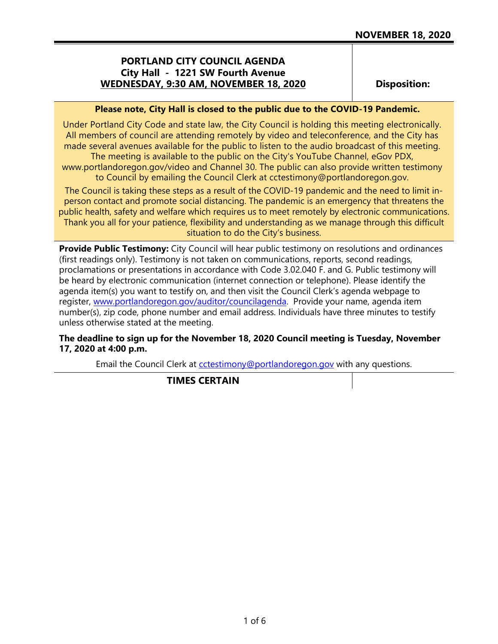## **PORTLAND CITY COUNCIL AGENDA City Hall - 1221 SW Fourth Avenue WEDNESDAY, 9:30 AM, NOVEMBER 18, 2020**

**Disposition:**

#### **Please note, City Hall is closed to the public due to the COVID-19 Pandemic.**

Under Portland City Code and state law, the City Council is holding this meeting electronically. All members of council are attending remotely by video and teleconference, and the City has made several avenues available for the public to listen to the audio broadcast of this meeting. The meeting is available to the public on the City's YouTube Channel, eGov PDX,

www.portlandoregon.gov/video and Channel 30. The public can also provide written testimony to Council by emailing the Council Clerk at cctestimony@portlandoregon.gov.

The Council is taking these steps as a result of the COVID-19 pandemic and the need to limit inperson contact and promote social distancing. The pandemic is an emergency that threatens the public health, safety and welfare which requires us to meet remotely by electronic communications. Thank you all for your patience, flexibility and understanding as we manage through this difficult situation to do the City's business.

**Provide Public Testimony:** City Council will hear public testimony on resolutions and ordinances (first readings only). Testimony is not taken on communications, reports, second readings, proclamations or presentations in accordance with Code 3.02.040 F. and G. Public testimony will be heard by electronic communication (internet connection or telephone). Please identify the agenda item(s) you want to testify on, and then visit the Council Clerk's agenda webpage to register, [www.portlandoregon.gov/auditor/councilagenda.](http://www.portlandoregon.gov/auditor/councilagenda) Provide your name, agenda item number(s), zip code, phone number and email address. Individuals have three minutes to testify unless otherwise stated at the meeting.

#### **The deadline to sign up for the November 18, 2020 Council meeting is Tuesday, November 17, 2020 at 4:00 p.m.**

Email the Council Clerk at [cctestimony@portlandoregon.gov](mailto:cctestimony@portlandoregon.gov) with any questions.

**TIMES CERTAIN**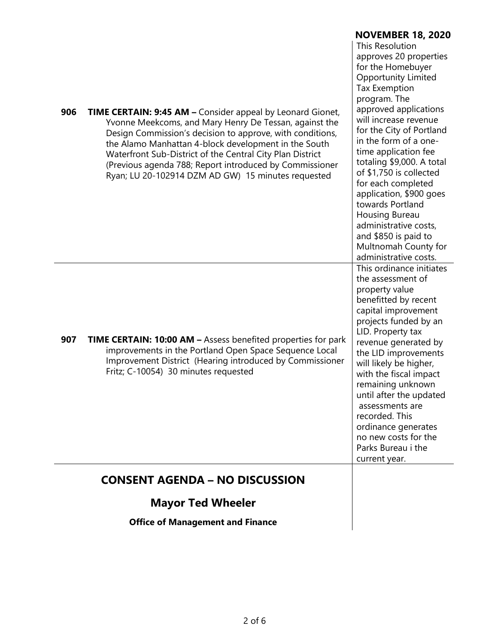|     |                                                                                                                                                                                                                                                                                                                                                                                                                         | <b>NOVEMBER 18, 2020</b><br>This Resolution                                                                                                                                                                                                                                                                                                                                                                                                                                                       |
|-----|-------------------------------------------------------------------------------------------------------------------------------------------------------------------------------------------------------------------------------------------------------------------------------------------------------------------------------------------------------------------------------------------------------------------------|---------------------------------------------------------------------------------------------------------------------------------------------------------------------------------------------------------------------------------------------------------------------------------------------------------------------------------------------------------------------------------------------------------------------------------------------------------------------------------------------------|
| 906 | TIME CERTAIN: 9:45 AM - Consider appeal by Leonard Gionet,<br>Yvonne Meekcoms, and Mary Henry De Tessan, against the<br>Design Commission's decision to approve, with conditions,<br>the Alamo Manhattan 4-block development in the South<br>Waterfront Sub-District of the Central City Plan District<br>(Previous agenda 788; Report introduced by Commissioner<br>Ryan; LU 20-102914 DZM AD GW) 15 minutes requested | approves 20 properties<br>for the Homebuyer<br><b>Opportunity Limited</b><br><b>Tax Exemption</b><br>program. The<br>approved applications<br>will increase revenue<br>for the City of Portland<br>in the form of a one-<br>time application fee<br>totaling \$9,000. A total<br>of \$1,750 is collected<br>for each completed<br>application, \$900 goes<br>towards Portland<br>Housing Bureau<br>administrative costs,<br>and \$850 is paid to<br>Multnomah County for<br>administrative costs. |
| 907 | <b>TIME CERTAIN: 10:00 AM - Assess benefited properties for park</b><br>improvements in the Portland Open Space Sequence Local<br>Improvement District (Hearing introduced by Commissioner<br>Fritz; C-10054) 30 minutes requested                                                                                                                                                                                      | This ordinance initiates<br>the assessment of<br>property value<br>benefitted by recent<br>capital improvement<br>projects funded by an<br>LID. Property tax<br>revenue generated by<br>the LID improvements<br>will likely be higher,<br>with the fiscal impact<br>remaining unknown<br>until after the updated<br>assessments are<br>recorded. This<br>ordinance generates<br>no new costs for the<br>Parks Bureau i the<br>current year.                                                       |
|     | <b>CONSENT AGENDA - NO DISCUSSION</b>                                                                                                                                                                                                                                                                                                                                                                                   |                                                                                                                                                                                                                                                                                                                                                                                                                                                                                                   |
|     | <b>Mayor Ted Wheeler</b>                                                                                                                                                                                                                                                                                                                                                                                                |                                                                                                                                                                                                                                                                                                                                                                                                                                                                                                   |
|     | <b>Office of Management and Finance</b>                                                                                                                                                                                                                                                                                                                                                                                 |                                                                                                                                                                                                                                                                                                                                                                                                                                                                                                   |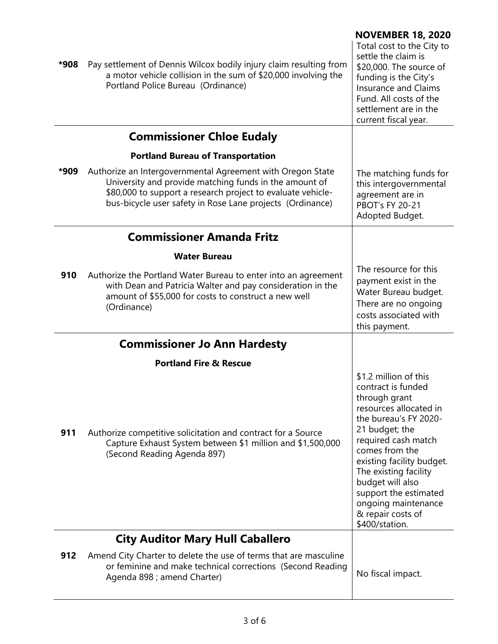| *908 | Pay settlement of Dennis Wilcox bodily injury claim resulting from<br>a motor vehicle collision in the sum of \$20,000 involving the<br>Portland Police Bureau (Ordinance)                                                                       | <b>NOVEMBER 18, 2020</b><br>Total cost to the City to<br>settle the claim is<br>\$20,000. The source of<br>funding is the City's<br><b>Insurance and Claims</b><br>Fund. All costs of the<br>settlement are in the<br>current fiscal year.                                                                                                  |
|------|--------------------------------------------------------------------------------------------------------------------------------------------------------------------------------------------------------------------------------------------------|---------------------------------------------------------------------------------------------------------------------------------------------------------------------------------------------------------------------------------------------------------------------------------------------------------------------------------------------|
|      | <b>Commissioner Chloe Eudaly</b>                                                                                                                                                                                                                 |                                                                                                                                                                                                                                                                                                                                             |
|      | <b>Portland Bureau of Transportation</b>                                                                                                                                                                                                         |                                                                                                                                                                                                                                                                                                                                             |
| *909 | Authorize an Intergovernmental Agreement with Oregon State<br>University and provide matching funds in the amount of<br>\$80,000 to support a research project to evaluate vehicle-<br>bus-bicycle user safety in Rose Lane projects (Ordinance) | The matching funds for<br>this intergovernmental<br>agreement are in<br><b>PBOT's FY 20-21</b><br>Adopted Budget.                                                                                                                                                                                                                           |
|      | <b>Commissioner Amanda Fritz</b>                                                                                                                                                                                                                 |                                                                                                                                                                                                                                                                                                                                             |
|      | <b>Water Bureau</b>                                                                                                                                                                                                                              |                                                                                                                                                                                                                                                                                                                                             |
| 910  | Authorize the Portland Water Bureau to enter into an agreement<br>with Dean and Patricia Walter and pay consideration in the<br>amount of \$55,000 for costs to construct a new well<br>(Ordinance)                                              | The resource for this<br>payment exist in the<br>Water Bureau budget.<br>There are no ongoing<br>costs associated with<br>this payment.                                                                                                                                                                                                     |
|      | <b>Commissioner Jo Ann Hardesty</b>                                                                                                                                                                                                              |                                                                                                                                                                                                                                                                                                                                             |
|      | <b>Portland Fire &amp; Rescue</b>                                                                                                                                                                                                                |                                                                                                                                                                                                                                                                                                                                             |
| 911  | Authorize competitive solicitation and contract for a Source<br>Capture Exhaust System between \$1 million and \$1,500,000<br>(Second Reading Agenda 897)                                                                                        | \$1.2 million of this<br>contract is funded<br>through grant<br>resources allocated in<br>the bureau's FY 2020-<br>21 budget; the<br>required cash match<br>comes from the<br>existing facility budget.<br>The existing facility<br>budget will also<br>support the estimated<br>ongoing maintenance<br>& repair costs of<br>\$400/station. |
|      | <b>City Auditor Mary Hull Caballero</b>                                                                                                                                                                                                          |                                                                                                                                                                                                                                                                                                                                             |
| 912  | Amend City Charter to delete the use of terms that are masculine<br>or feminine and make technical corrections (Second Reading<br>Agenda 898 ; amend Charter)                                                                                    | No fiscal impact.                                                                                                                                                                                                                                                                                                                           |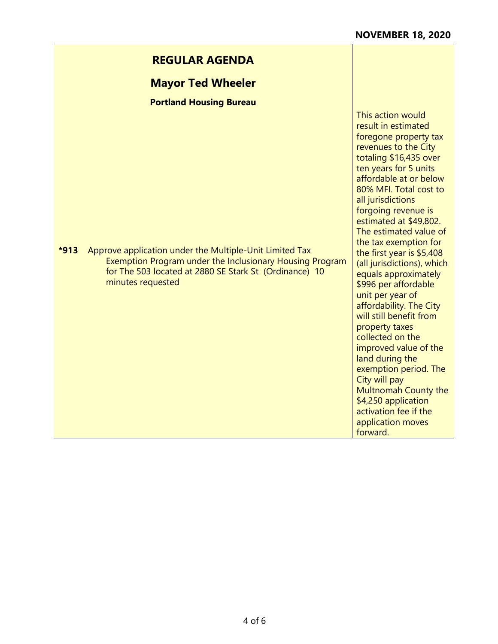This action would result in estimated

**Mayor Ted Wheeler**

**Portland Housing Bureau** 

|        |                                                                                                                                                                                                    | foregone property tax<br>revenues to the City<br>totaling \$16,435 over<br>ten years for 5 units<br>affordable at or below<br>80% MFI. Total cost to<br>all jurisdictions<br>forgoing revenue is<br>estimated at \$49,802.<br>The estimated value of<br>the tax exemption for                                                                                                                                          |
|--------|----------------------------------------------------------------------------------------------------------------------------------------------------------------------------------------------------|------------------------------------------------------------------------------------------------------------------------------------------------------------------------------------------------------------------------------------------------------------------------------------------------------------------------------------------------------------------------------------------------------------------------|
| $*913$ | Approve application under the Multiple-Unit Limited Tax<br>Exemption Program under the Inclusionary Housing Program<br>for The 503 located at 2880 SE Stark St (Ordinance) 10<br>minutes requested | the first year is \$5,408<br>(all jurisdictions), which<br>equals approximately<br>\$996 per affordable<br>unit per year of<br>affordability. The City<br>will still benefit from<br>property taxes<br>collected on the<br>improved value of the<br>land during the<br>exemption period. The<br>City will pay<br>Multnomah County the<br>\$4,250 application<br>activation fee if the<br>application moves<br>forward. |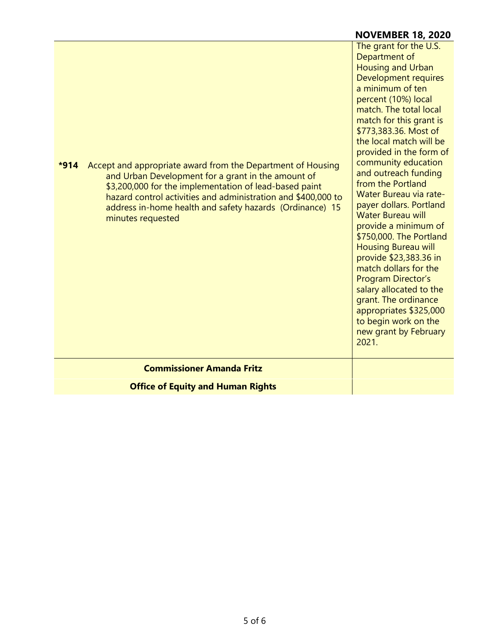# **NOVEMBER 18, 2020**

| Accept and appropriate award from the Department of Housing<br>$*914$<br>and Urban Development for a grant in the amount of<br>\$3,200,000 for the implementation of lead-based paint<br>hazard control activities and administration and \$400,000 to<br>address in-home health and safety hazards (Ordinance) 15<br>minutes requested | The grant for the U.S.<br>Department of<br><b>Housing and Urban</b><br>Development requires<br>a minimum of ten<br>percent (10%) local<br>match. The total local<br>match for this grant is<br>\$773,383.36. Most of<br>the local match will be<br>provided in the form of<br>community education<br>and outreach funding<br>from the Portland<br>Water Bureau via rate-<br>payer dollars. Portland<br><b>Water Bureau will</b><br>provide a minimum of<br>\$750,000. The Portland<br><b>Housing Bureau will</b><br>provide \$23,383.36 in<br>match dollars for the<br>Program Director's<br>salary allocated to the<br>grant. The ordinance<br>appropriates \$325,000<br>to begin work on the<br>new grant by February<br>2021. |
|-----------------------------------------------------------------------------------------------------------------------------------------------------------------------------------------------------------------------------------------------------------------------------------------------------------------------------------------|----------------------------------------------------------------------------------------------------------------------------------------------------------------------------------------------------------------------------------------------------------------------------------------------------------------------------------------------------------------------------------------------------------------------------------------------------------------------------------------------------------------------------------------------------------------------------------------------------------------------------------------------------------------------------------------------------------------------------------|
| <b>Commissioner Amanda Fritz</b>                                                                                                                                                                                                                                                                                                        |                                                                                                                                                                                                                                                                                                                                                                                                                                                                                                                                                                                                                                                                                                                                  |
| <b>Office of Equity and Human Rights</b>                                                                                                                                                                                                                                                                                                |                                                                                                                                                                                                                                                                                                                                                                                                                                                                                                                                                                                                                                                                                                                                  |